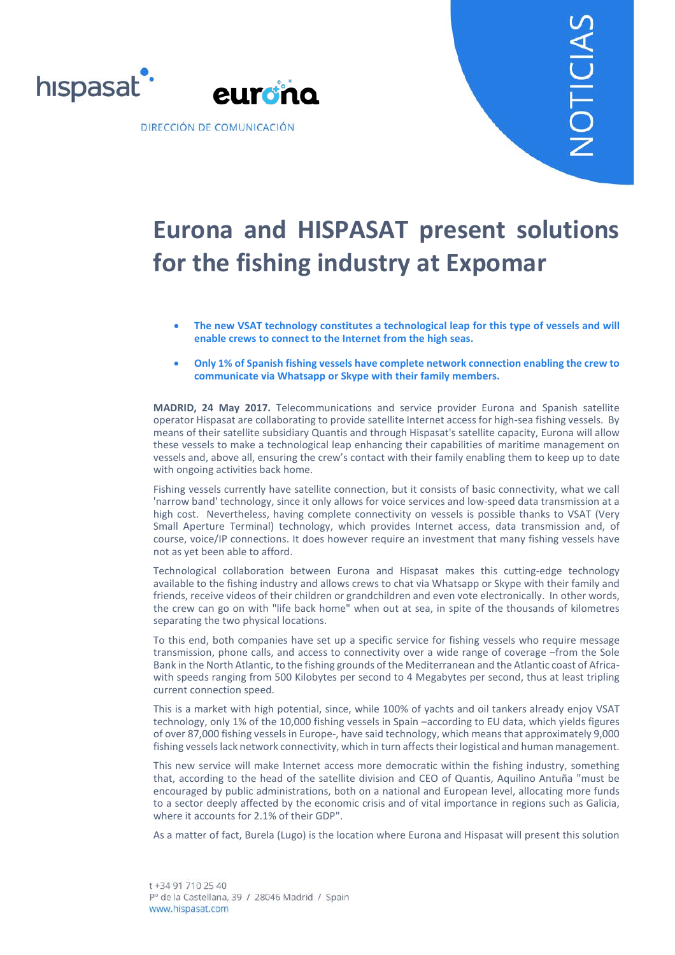

## **Eurona and HISPASAT present solutions for the fishing industry at Expomar**

- **The new VSAT technology constitutes a technological leap for this type of vessels and will enable crews to connect to the Internet from the high seas.**
- **Only 1% of Spanish fishing vessels have complete network connection enabling the crew to communicate via Whatsapp or Skype with their family members.**

**MADRID, 24 May 2017.** Telecommunications and service provider Eurona and Spanish satellite operator Hispasat are collaborating to provide satellite Internet access for high-sea fishing vessels. By means of their satellite subsidiary Quantis and through Hispasat's satellite capacity, Eurona will allow these vessels to make a technological leap enhancing their capabilities of maritime management on vessels and, above all, ensuring the crew's contact with their family enabling them to keep up to date with ongoing activities back home.

Fishing vessels currently have satellite connection, but it consists of basic connectivity, what we call 'narrow band' technology, since it only allows for voice services and low-speed data transmission at a high cost. Nevertheless, having complete connectivity on vessels is possible thanks to VSAT (Very Small Aperture Terminal) technology, which provides Internet access, data transmission and, of course, voice/IP connections. It does however require an investment that many fishing vessels have not as yet been able to afford.

Technological collaboration between Eurona and Hispasat makes this cutting-edge technology available to the fishing industry and allows crews to chat via Whatsapp or Skype with their family and friends, receive videos of their children or grandchildren and even vote electronically. In other words, the crew can go on with "life back home" when out at sea, in spite of the thousands of kilometres separating the two physical locations.

To this end, both companies have set up a specific service for fishing vessels who require message transmission, phone calls, and access to connectivity over a wide range of coverage –from the Sole Bank in the North Atlantic, to the fishing grounds of the Mediterranean and the Atlantic coast of Africawith speeds ranging from 500 Kilobytes per second to 4 Megabytes per second, thus at least tripling current connection speed.

This is a market with high potential, since, while 100% of yachts and oil tankers already enjoy VSAT technology, only 1% of the 10,000 fishing vessels in Spain –according to EU data, which yields figures of over 87,000 fishing vessels in Europe-, have said technology, which means that approximately 9,000 fishing vessels lack network connectivity, which in turn affects their logistical and human management.

This new service will make Internet access more democratic within the fishing industry, something that, according to the head of the satellite division and CEO of Quantis, Aquilino Antuña "must be encouraged by public administrations, both on a national and European level, allocating more funds to a sector deeply affected by the economic crisis and of vital importance in regions such as Galicia, where it accounts for 2.1% of their GDP".

As a matter of fact, Burela (Lugo) is the location where Eurona and Hispasat will present this solution